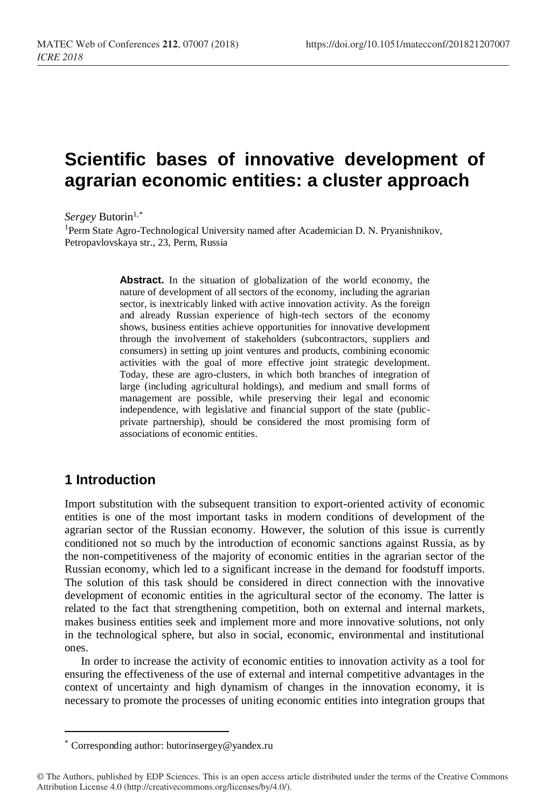# **Scientific bases of innovative development of agrarian economic entities: a cluster approach**

Sergey Butorin<sup>1,\*</sup>

<sup>1</sup>Perm State Agro-Technological University named after Academician D. N. Pryanishnikov, Petropavlovskaya str., 23, Perm, Russia

> **Abstract.** In the situation of globalization of the world economy, the nature of development of all sectors of the economy, including the agrarian sector, is inextricably linked with active innovation activity. As the foreign and already Russian experience of high-tech sectors of the economy shows, business entities achieve opportunities for innovative development through the involvement of stakeholders (subcontractors, suppliers and consumers) in setting up joint ventures and products, combining economic activities with the goal of more effective joint strategic development. Today, these are agro-clusters, in which both branches of integration of large (including agricultural holdings), and medium and small forms of management are possible, while preserving their legal and economic independence, with legislative and financial support of the state (publicprivate partnership), should be considered the most promising form of associations of economic entities.

## **1 Introduction**

 $\overline{a}$ 

Import substitution with the subsequent transition to export-oriented activity of economic entities is one of the most important tasks in modern conditions of development of the agrarian sector of the Russian economy. However, the solution of this issue is currently conditioned not so much by the introduction of economic sanctions against Russia, as by the non-competitiveness of the majority of economic entities in the agrarian sector of the Russian economy, which led to a significant increase in the demand for foodstuff imports. The solution of this task should be considered in direct connection with the innovative development of economic entities in the agricultural sector of the economy. The latter is related to the fact that strengthening competition, both on external and internal markets, makes business entities seek and implement more and more innovative solutions, not only in the technological sphere, but also in social, economic, environmental and institutional ones.

In order to increase the activity of economic entities to innovation activity as a tool for ensuring the effectiveness of the use of external and internal competitive advantages in the context of uncertainty and high dynamism of changes in the innovation economy, it is necessary to promote the processes of uniting economic entities into integration groups that

<sup>\*</sup> Corresponding author: [butorinsergey@yandex.ru](mailto:butorinsergey@yandex.ru)

<sup>©</sup> The Authors, published by EDP Sciences. This is an open access article distributed under the terms of the Creative Commons Attribution License 4.0 (http://creativecommons.org/licenses/by/4.0/).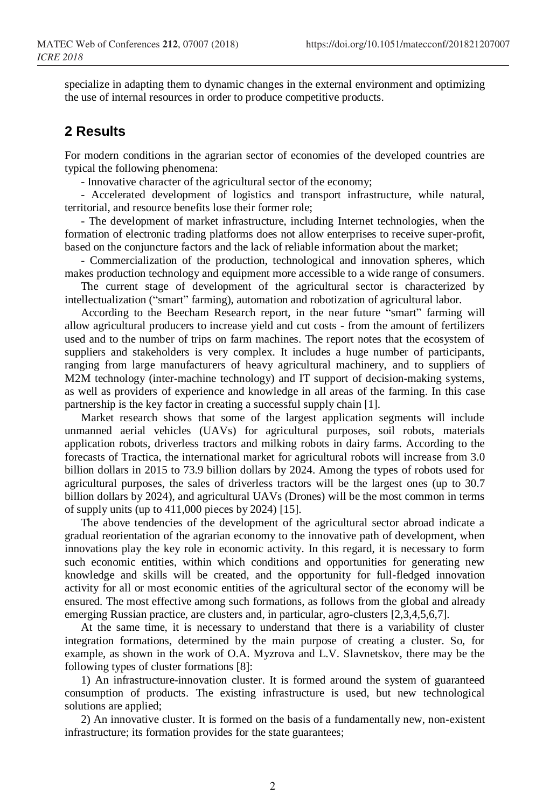specialize in adapting them to dynamic changes in the external environment and optimizing the use of internal resources in order to produce competitive products.

#### **2 Results**

For modern conditions in the agrarian sector of economies of the developed countries are typical the following phenomena:

- Innovative character of the agricultural sector of the economy;

- Accelerated development of logistics and transport infrastructure, while natural, territorial, and resource benefits lose their former role;

- The development of market infrastructure, including Internet technologies, when the formation of electronic trading platforms does not allow enterprises to receive super-profit, based on the conjuncture factors and the lack of reliable information about the market;

- Commercialization of the production, technological and innovation spheres, which makes production technology and equipment more accessible to a wide range of consumers.

The current stage of development of the agricultural sector is characterized by intellectualization ("smart" farming), automation and robotization of agricultural labor.

According to the Beecham Research report, in the near future "smart" farming will allow agricultural producers to increase yield and cut costs - from the amount of fertilizers used and to the number of trips on farm machines. The report notes that the ecosystem of suppliers and stakeholders is very complex. It includes a huge number of participants, ranging from large manufacturers of heavy agricultural machinery, and to suppliers of M2M technology (inter-machine technology) and IT support of decision-making systems, as well as providers of experience and knowledge in all areas of the farming. In this case partnership is the key factor in creating a successful supply chain [1].

Market research shows that some of the largest application segments will include unmanned aerial vehicles (UAVs) for agricultural purposes, soil robots, materials application robots, driverless tractors and milking robots in dairy farms. According to the forecasts of Tractica, the international market for agricultural robots will increase from 3.0 billion dollars in 2015 to 73.9 billion dollars by 2024. Among the types of robots used for agricultural purposes, the sales of driverless tractors will be the largest ones (up to 30.7 billion dollars by 2024), and agricultural UAVs (Drones) will be the most common in terms of supply units (up to 411,000 pieces by 2024) [15].

The above tendencies of the development of the agricultural sector abroad indicate a gradual reorientation of the agrarian economy to the innovative path of development, when innovations play the key role in economic activity. In this regard, it is necessary to form such economic entities, within which conditions and opportunities for generating new knowledge and skills will be created, and the opportunity for full-fledged innovation activity for all or most economic entities of the agricultural sector of the economy will be ensured. The most effective among such formations, as follows from the global and already emerging Russian practice, are clusters and, in particular, agro-clusters [2,3,4,5,6,7].

At the same time, it is necessary to understand that there is a variability of cluster integration formations, determined by the main purpose of creating a cluster. So, for example, as shown in the work of O.A. Myzrova and L.V. Slavnetskov, there may be the following types of cluster formations [8]:

1) An infrastructure-innovation cluster. It is formed around the system of guaranteed consumption of products. The existing infrastructure is used, but new technological solutions are applied;

2) An innovative cluster. It is formed on the basis of a fundamentally new, non-existent infrastructure; its formation provides for the state guarantees;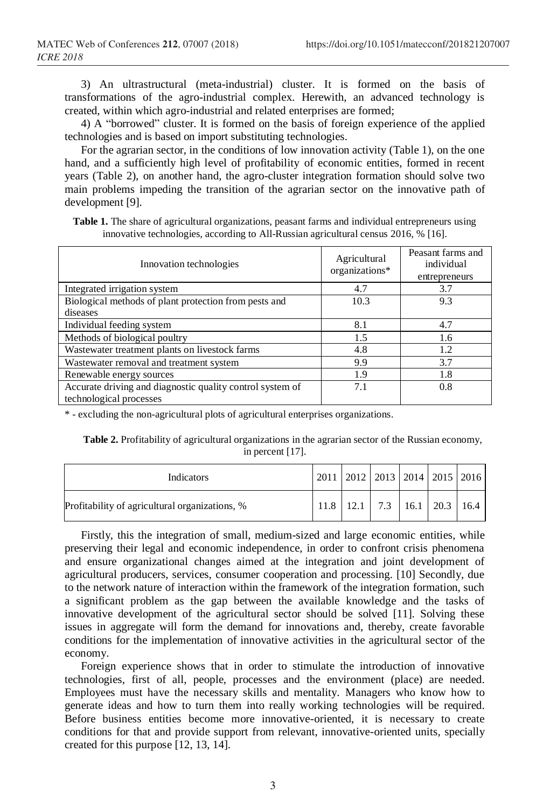3) An ultrastructural (meta-industrial) cluster. It is formed on the basis of transformations of the agro-industrial complex. Herewith, an advanced technology is created, within which agro-industrial and related enterprises are formed;

4) A "borrowed" cluster. It is formed on the basis of foreign experience of the applied technologies and is based on import substituting technologies.

For the agrarian sector, in the conditions of low innovation activity (Table 1), on the one hand, and a sufficiently high level of profitability of economic entities, formed in recent years (Table 2), on another hand, the agro-cluster integration formation should solve two main problems impeding the transition of the agrarian sector on the innovative path of development [9].

| <b>Table 1.</b> The share of agricultural organizations, peasant farms and individual entrepreneurs using |  |
|-----------------------------------------------------------------------------------------------------------|--|
| innovative technologies, according to All-Russian agricultural census 2016, % [16].                       |  |

| Innovation technologies                                   | Agricultural<br>organizations* | Peasant farms and<br>individual<br>entrepreneurs |
|-----------------------------------------------------------|--------------------------------|--------------------------------------------------|
| Integrated irrigation system                              | 4.7                            | 3.7                                              |
| Biological methods of plant protection from pests and     | 10.3                           | 9.3                                              |
| diseases                                                  |                                |                                                  |
| Individual feeding system                                 | 8.1                            | 4.7                                              |
| Methods of biological poultry                             | 1.5                            | 1.6                                              |
| Wastewater treatment plants on livestock farms            | 4.8                            | 1.2                                              |
| Wastewater removal and treatment system                   | 9.9                            | 3.7                                              |
| Renewable energy sources                                  | 1.9                            | 1.8                                              |
| Accurate driving and diagnostic quality control system of | 7.1                            | 0.8                                              |
| technological processes                                   |                                |                                                  |

\* - excluding the non-agricultural plots of agricultural enterprises organizations.

**Table 2.** Profitability of agricultural organizations in the agrarian sector of the Russian economy, in percent [17].

| Indicators                                     | 2011   2012   2013   2014   2015   2016  |  |  |
|------------------------------------------------|------------------------------------------|--|--|
| Profitability of agricultural organizations, % | $11.8$   12.1   7.3   16.1   20.3   16.4 |  |  |

Firstly, this the integration of small, medium-sized and large economic entities, while preserving their legal and economic independence, in order to confront crisis phenomena and ensure organizational changes aimed at the integration and joint development of agricultural producers, services, consumer cooperation and processing. [10] Secondly, due to the network nature of interaction within the framework of the integration formation, such a significant problem as the gap between the available knowledge and the tasks of innovative development of the agricultural sector should be solved [11]. Solving these issues in aggregate will form the demand for innovations and, thereby, create favorable conditions for the implementation of innovative activities in the agricultural sector of the economy.

Foreign experience shows that in order to stimulate the introduction of innovative technologies, first of all, people, processes and the environment (place) are needed. Employees must have the necessary skills and mentality. Managers who know how to generate ideas and how to turn them into really working technologies will be required. Before business entities become more innovative-oriented, it is necessary to create conditions for that and provide support from relevant, innovative-oriented units, specially created for this purpose [12, 13, 14].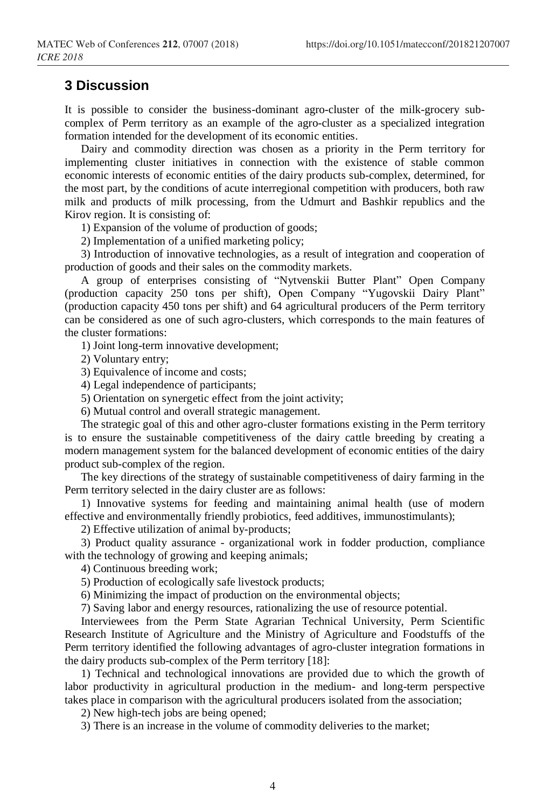#### **3 Discussion**

It is possible to consider the business-dominant agro-cluster of the milk-grocery subcomplex of Perm territory as an example of the agro-cluster as a specialized integration formation intended for the development of its economic entities.

Dairy and commodity direction was chosen as a priority in the Perm territory for implementing cluster initiatives in connection with the existence of stable common economic interests of economic entities of the dairy products sub-complex, determined, for the most part, by the conditions of acute interregional competition with producers, both raw milk and products of milk processing, from the Udmurt and Bashkir republics and the Kirov region. It is consisting of:

1) Expansion of the volume of production of goods;

2) Implementation of a unified marketing policy;

3) Introduction of innovative technologies, as a result of integration and cooperation of production of goods and their sales on the commodity markets.

A group of enterprises consisting of "Nytvenskii Butter Plant" Open Company (production capacity 250 tons per shift), Open Company "Yugovskii Dairy Plant" (production capacity 450 tons per shift) and 64 agricultural producers of the Perm territory can be considered as one of such agro-clusters, which corresponds to the main features of the cluster formations:

1) Joint long-term innovative development;

2) Voluntary entry;

3) Equivalence of income and costs;

4) Legal independence of participants;

5) Orientation on synergetic effect from the joint activity;

6) Mutual control and overall strategic management.

The strategic goal of this and other agro-cluster formations existing in the Perm territory is to ensure the sustainable competitiveness of the dairy cattle breeding by creating a modern management system for the balanced development of economic entities of the dairy product sub-complex of the region.

The key directions of the strategy of sustainable competitiveness of dairy farming in the Perm territory selected in the dairy cluster are as follows:

1) Innovative systems for feeding and maintaining animal health (use of modern effective and environmentally friendly probiotics, feed additives, immunostimulants);

2) Effective utilization of animal by-products;

3) Product quality assurance - organizational work in fodder production, compliance with the technology of growing and keeping animals;

4) Continuous breeding work;

5) Production of ecologically safe livestock products;

6) Minimizing the impact of production on the environmental objects;

7) Saving labor and energy resources, rationalizing the use of resource potential.

Interviewees from the Perm State Agrarian Technical University, Perm Scientific Research Institute of Agriculture and the Ministry of Agriculture and Foodstuffs of the Perm territory identified the following advantages of agro-cluster integration formations in the dairy products sub-complex of the Perm territory [18]:

1) Technical and technological innovations are provided due to which the growth of labor productivity in agricultural production in the medium- and long-term perspective takes place in comparison with the agricultural producers isolated from the association;

2) New high-tech jobs are being opened;

3) There is an increase in the volume of commodity deliveries to the market;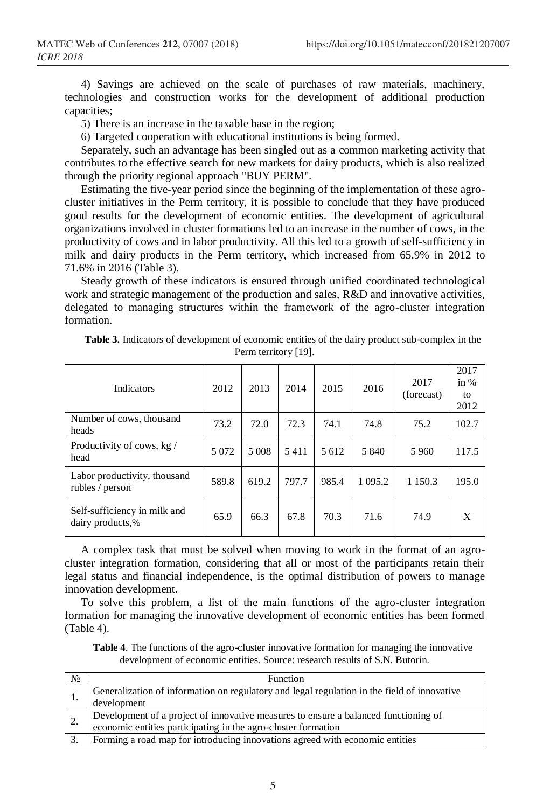4) Savings are achieved on the scale of purchases of raw materials, machinery, technologies and construction works for the development of additional production capacities;

5) There is an increase in the taxable base in the region;

6) Targeted cooperation with educational institutions is being formed.

Separately, such an advantage has been singled out as a common marketing activity that contributes to the effective search for new markets for dairy products, which is also realized through the priority regional approach "BUY PERM".

Estimating the five-year period since the beginning of the implementation of these agrocluster initiatives in the Perm territory, it is possible to conclude that they have produced good results for the development of economic entities. The development of agricultural organizations involved in cluster formations led to an increase in the number of cows, in the productivity of cows and in labor productivity. All this led to a growth of self-sufficiency in milk and dairy products in the Perm territory, which increased from 65.9% in 2012 to 71.6% in 2016 (Table 3).

Steady growth of these indicators is ensured through unified coordinated technological work and strategic management of the production and sales, R&D and innovative activities, delegated to managing structures within the framework of the agro-cluster integration formation.

| Indicators                                       | 2012    | 2013  | 2014  | 2015  | 2016       | 2017<br>(forecast) | 2017<br>in $%$<br>to<br>2012 |
|--------------------------------------------------|---------|-------|-------|-------|------------|--------------------|------------------------------|
| Number of cows, thousand<br>heads                | 73.2    | 72.0  | 72.3  | 74.1  | 74.8       | 75.2               | 102.7                        |
| Productivity of cows, kg /<br>head               | 5 0 7 2 | 5 008 | 5411  | 5612  | 5 840      | 5960               | 117.5                        |
| Labor productivity, thousand<br>rubles / person  | 589.8   | 619.2 | 797.7 | 985.4 | 1 0 9 5 .2 | 1 1 5 0 . 3        | 195.0                        |
| Self-sufficiency in milk and<br>dairy products,% | 65.9    | 66.3  | 67.8  | 70.3  | 71.6       | 74.9               | X                            |

| <b>Table 3.</b> Indicators of development of economic entities of the dairy product sub-complex in the |
|--------------------------------------------------------------------------------------------------------|
| Perm territory [19].                                                                                   |

A complex task that must be solved when moving to work in the format of an agrocluster integration formation, considering that all or most of the participants retain their legal status and financial independence, is the optimal distribution of powers to manage innovation development.

To solve this problem, a list of the main functions of the agro-cluster integration formation for managing the innovative development of economic entities has been formed (Table 4).

**Table 4**. The functions of the agro-cluster innovative formation for managing the innovative development of economic entities. Source: research results of S.N. Butorin.

| $N_2$ | Function                                                                                    |
|-------|---------------------------------------------------------------------------------------------|
|       | Generalization of information on regulatory and legal regulation in the field of innovative |
|       | development                                                                                 |
|       | Development of a project of innovative measures to ensure a balanced functioning of         |
|       | economic entities participating in the agro-cluster formation                               |
| 3.    | Forming a road map for introducing innovations agreed with economic entities                |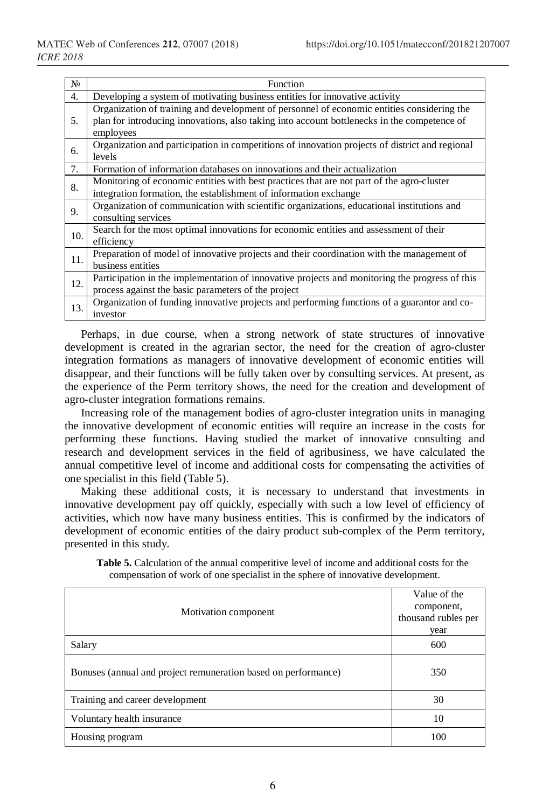| No. | Function                                                                                                                                                                                               |
|-----|--------------------------------------------------------------------------------------------------------------------------------------------------------------------------------------------------------|
| 4.  | Developing a system of motivating business entities for innovative activity                                                                                                                            |
| 5.  | Organization of training and development of personnel of economic entities considering the<br>plan for introducing innovations, also taking into account bottlenecks in the competence of<br>employees |
| 6.  | Organization and participation in competitions of innovation projects of district and regional<br>levels                                                                                               |
| 7.  | Formation of information databases on innovations and their actualization                                                                                                                              |
| 8.  | Monitoring of economic entities with best practices that are not part of the agro-cluster<br>integration formation, the establishment of information exchange                                          |
| 9.  | Organization of communication with scientific organizations, educational institutions and<br>consulting services                                                                                       |
| 10. | Search for the most optimal innovations for economic entities and assessment of their<br>efficiency                                                                                                    |
| 11. | Preparation of model of innovative projects and their coordination with the management of<br>business entities                                                                                         |
| 12. | Participation in the implementation of innovative projects and monitoring the progress of this<br>process against the basic parameters of the project                                                  |
| 13. | Organization of funding innovative projects and performing functions of a guarantor and co-<br>investor                                                                                                |

Perhaps, in due course, when a strong network of state structures of innovative development is created in the agrarian sector, the need for the creation of agro-cluster integration formations as managers of innovative development of economic entities will disappear, and their functions will be fully taken over by consulting services. At present, as the experience of the Perm territory shows, the need for the creation and development of agro-cluster integration formations remains.

Increasing role of the management bodies of agro-cluster integration units in managing the innovative development of economic entities will require an increase in the costs for performing these functions. Having studied the market of innovative consulting and research and development services in the field of agribusiness, we have calculated the annual competitive level of income and additional costs for compensating the activities of one specialist in this field (Table 5).

Making these additional costs, it is necessary to understand that investments in innovative development pay off quickly, especially with such a low level of efficiency of activities, which now have many business entities. This is confirmed by the indicators of development of economic entities of the dairy product sub-complex of the Perm territory, presented in this study.

| Motivation component                                           | Value of the<br>component,<br>thousand rubles per<br>year |
|----------------------------------------------------------------|-----------------------------------------------------------|
| Salary                                                         | 600                                                       |
| Bonuses (annual and project remuneration based on performance) | 350                                                       |
| Training and career development                                | 30                                                        |
| Voluntary health insurance                                     | 10                                                        |
| Housing program                                                | 100                                                       |

**Table 5.** Calculation of the annual competitive level of income and additional costs for the compensation of work of one specialist in the sphere of innovative development.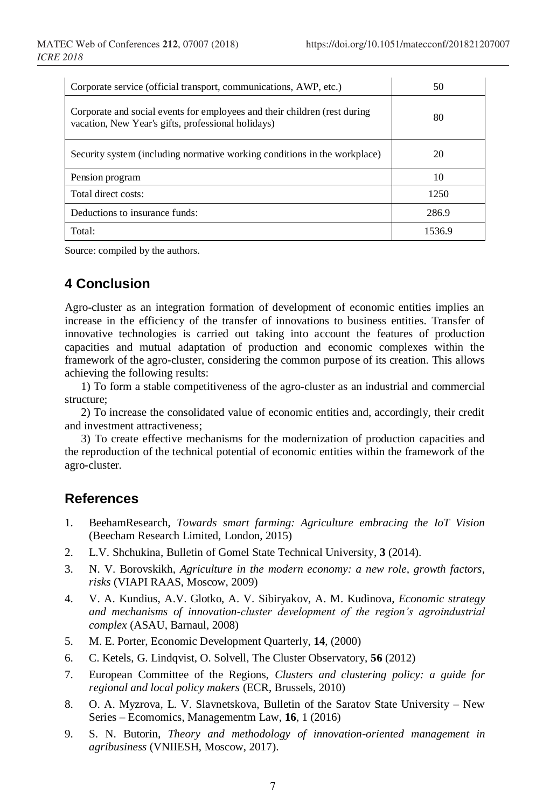| Corporate service (official transport, communications, AWP, etc.)                                                               | 50     |  |
|---------------------------------------------------------------------------------------------------------------------------------|--------|--|
| Corporate and social events for employees and their children (rest during<br>vacation, New Year's gifts, professional holidays) | 80     |  |
| Security system (including normative working conditions in the workplace)                                                       | 20     |  |
| Pension program                                                                                                                 | 10     |  |
| Total direct costs:                                                                                                             | 1250   |  |
| Deductions to insurance funds:                                                                                                  | 286.9  |  |
| Total:                                                                                                                          | 1536.9 |  |

Source: compiled by the authors.

## **4 Conclusion**

Agro-cluster as an integration formation of development of economic entities implies an increase in the efficiency of the transfer of innovations to business entities. Transfer of innovative technologies is carried out taking into account the features of production capacities and mutual adaptation of production and economic complexes within the framework of the agro-cluster, considering the common purpose of its creation. This allows achieving the following results:

1) To form a stable competitiveness of the agro-cluster as an industrial and commercial structure;

2) To increase the consolidated value of economic entities and, accordingly, their credit and investment attractiveness;

3) To create effective mechanisms for the modernization of production capacities and the reproduction of the technical potential of economic entities within the framework of the agro-cluster.

### **References**

- 1. BeehamResearch, *Towards smart farming: Agriculture embracing the IoT Vision* (Beecham Research Limited, London, 2015)
- 2. L.V. Shchukina, Bulletin of Gomel State Technical University, **3** (2014).
- 3. N. V. Borovskikh, *Agriculture in the modern economy: a new role, growth factors, risks* (VIAPI RAAS, Moscow, 2009)
- 4. V. A. Kundius, A.V. Glotko, A. V. Sibiryakov, A. M. Kudinova, *Economic strategy and mechanisms of innovation-cluster development of the region's agroindustrial complex* (ASAU, Barnaul, 2008)
- 5. M. E. Porter, Economic Development Quarterly, **14**, (2000)
- 6. C. Ketels, G. Lindqvist, O. Solvell, The Cluster Observatory, **56** (2012)
- 7. European Committee of the Regions, *Clusters and clustering policy: a guide for regional and local policy makers* (ECR, Brussels, 2010)
- 8. O. A. Myzrova, L. V. Slavnetskova, Bulletin of the Saratov State University New Series – Ecomomics, Managementm Law, **16**, 1 (2016)
- 9. S. N. Butorin, *Theory and methodology of innovation-oriented management in agribusiness* (VNIIESH, Moscow, 2017).